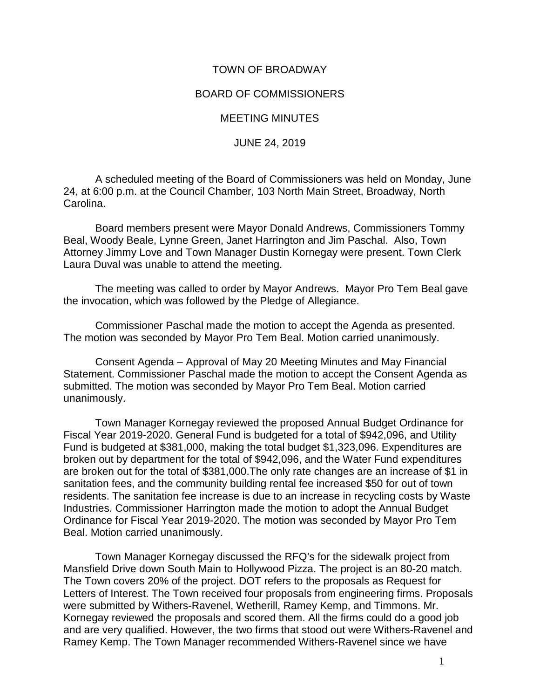## TOWN OF BROADWAY

## BOARD OF COMMISSIONERS

## MEETING MINUTES

## JUNE 24, 2019

A scheduled meeting of the Board of Commissioners was held on Monday, June 24, at 6:00 p.m. at the Council Chamber, 103 North Main Street, Broadway, North Carolina.

Board members present were Mayor Donald Andrews, Commissioners Tommy Beal, Woody Beale, Lynne Green, Janet Harrington and Jim Paschal. Also, Town Attorney Jimmy Love and Town Manager Dustin Kornegay were present. Town Clerk Laura Duval was unable to attend the meeting.

The meeting was called to order by Mayor Andrews. Mayor Pro Tem Beal gave the invocation, which was followed by the Pledge of Allegiance.

Commissioner Paschal made the motion to accept the Agenda as presented. The motion was seconded by Mayor Pro Tem Beal. Motion carried unanimously.

Consent Agenda – Approval of May 20 Meeting Minutes and May Financial Statement. Commissioner Paschal made the motion to accept the Consent Agenda as submitted. The motion was seconded by Mayor Pro Tem Beal. Motion carried unanimously.

Town Manager Kornegay reviewed the proposed Annual Budget Ordinance for Fiscal Year 2019-2020. General Fund is budgeted for a total of \$942,096, and Utility Fund is budgeted at \$381,000, making the total budget \$1,323,096. Expenditures are broken out by department for the total of \$942,096, and the Water Fund expenditures are broken out for the total of \$381,000.The only rate changes are an increase of \$1 in sanitation fees, and the community building rental fee increased \$50 for out of town residents. The sanitation fee increase is due to an increase in recycling costs by Waste Industries. Commissioner Harrington made the motion to adopt the Annual Budget Ordinance for Fiscal Year 2019-2020. The motion was seconded by Mayor Pro Tem Beal. Motion carried unanimously.

Town Manager Kornegay discussed the RFQ's for the sidewalk project from Mansfield Drive down South Main to Hollywood Pizza. The project is an 80-20 match. The Town covers 20% of the project. DOT refers to the proposals as Request for Letters of Interest. The Town received four proposals from engineering firms. Proposals were submitted by Withers-Ravenel, Wetherill, Ramey Kemp, and Timmons. Mr. Kornegay reviewed the proposals and scored them. All the firms could do a good job and are very qualified. However, the two firms that stood out were Withers-Ravenel and Ramey Kemp. The Town Manager recommended Withers-Ravenel since we have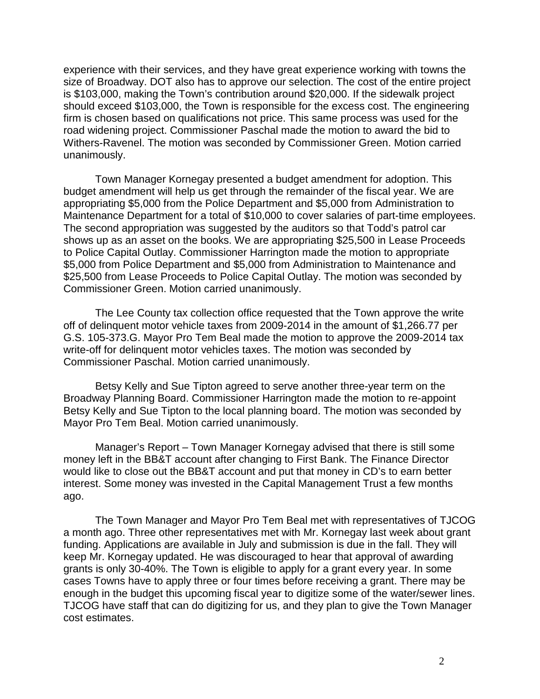experience with their services, and they have great experience working with towns the size of Broadway. DOT also has to approve our selection. The cost of the entire project is \$103,000, making the Town's contribution around \$20,000. If the sidewalk project should exceed \$103,000, the Town is responsible for the excess cost. The engineering firm is chosen based on qualifications not price. This same process was used for the road widening project. Commissioner Paschal made the motion to award the bid to Withers-Ravenel. The motion was seconded by Commissioner Green. Motion carried unanimously.

Town Manager Kornegay presented a budget amendment for adoption. This budget amendment will help us get through the remainder of the fiscal year. We are appropriating \$5,000 from the Police Department and \$5,000 from Administration to Maintenance Department for a total of \$10,000 to cover salaries of part-time employees. The second appropriation was suggested by the auditors so that Todd's patrol car shows up as an asset on the books. We are appropriating \$25,500 in Lease Proceeds to Police Capital Outlay. Commissioner Harrington made the motion to appropriate \$5,000 from Police Department and \$5,000 from Administration to Maintenance and \$25,500 from Lease Proceeds to Police Capital Outlay. The motion was seconded by Commissioner Green. Motion carried unanimously.

The Lee County tax collection office requested that the Town approve the write off of delinquent motor vehicle taxes from 2009-2014 in the amount of \$1,266.77 per G.S. 105-373.G. Mayor Pro Tem Beal made the motion to approve the 2009-2014 tax write-off for delinquent motor vehicles taxes. The motion was seconded by Commissioner Paschal. Motion carried unanimously.

Betsy Kelly and Sue Tipton agreed to serve another three-year term on the Broadway Planning Board. Commissioner Harrington made the motion to re-appoint Betsy Kelly and Sue Tipton to the local planning board. The motion was seconded by Mayor Pro Tem Beal. Motion carried unanimously.

Manager's Report – Town Manager Kornegay advised that there is still some money left in the BB&T account after changing to First Bank. The Finance Director would like to close out the BB&T account and put that money in CD's to earn better interest. Some money was invested in the Capital Management Trust a few months ago.

The Town Manager and Mayor Pro Tem Beal met with representatives of TJCOG a month ago. Three other representatives met with Mr. Kornegay last week about grant funding. Applications are available in July and submission is due in the fall. They will keep Mr. Kornegay updated. He was discouraged to hear that approval of awarding grants is only 30-40%. The Town is eligible to apply for a grant every year. In some cases Towns have to apply three or four times before receiving a grant. There may be enough in the budget this upcoming fiscal year to digitize some of the water/sewer lines. TJCOG have staff that can do digitizing for us, and they plan to give the Town Manager cost estimates.